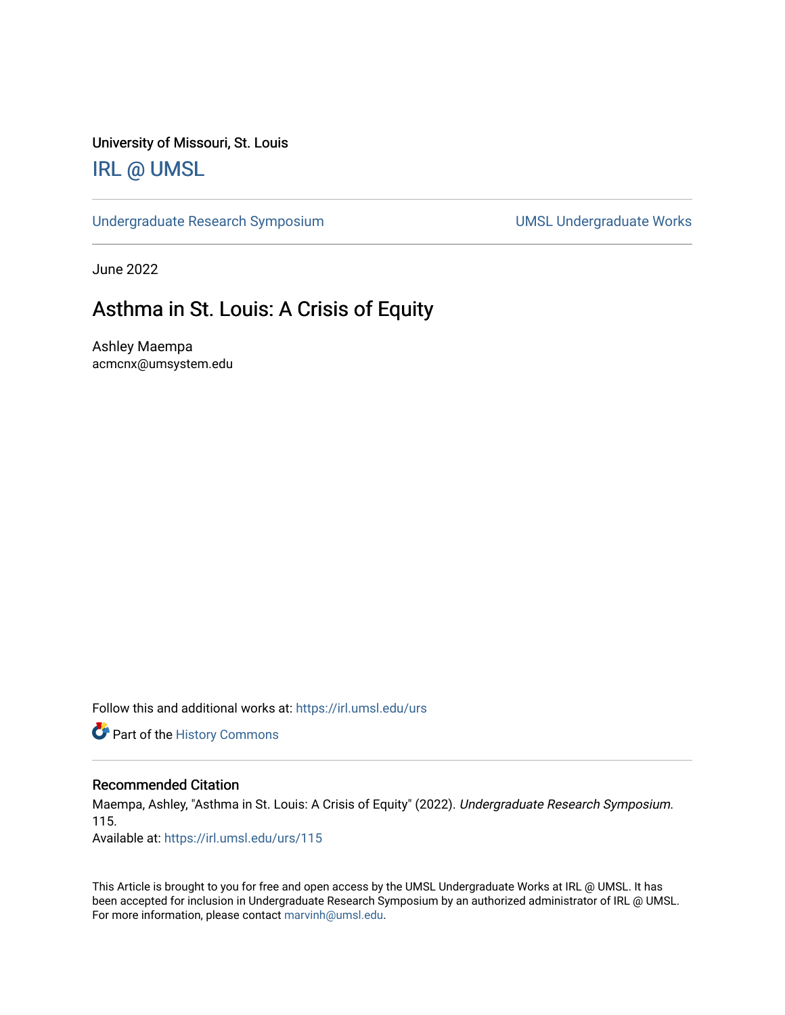University of Missouri, St. Louis

### [IRL @ UMSL](https://irl.umsl.edu/)

[Undergraduate Research Symposium](https://irl.umsl.edu/urs) and a state of UMSL Undergraduate Works

June 2022

### Asthma in St. Louis: A Crisis of Equity

Ashley Maempa acmcnx@umsystem.edu

Follow this and additional works at: [https://irl.umsl.edu/urs](https://irl.umsl.edu/urs?utm_source=irl.umsl.edu%2Furs%2F115&utm_medium=PDF&utm_campaign=PDFCoverPages)

Part of the [History Commons](https://network.bepress.com/hgg/discipline/489?utm_source=irl.umsl.edu%2Furs%2F115&utm_medium=PDF&utm_campaign=PDFCoverPages) 

#### Recommended Citation

Maempa, Ashley, "Asthma in St. Louis: A Crisis of Equity" (2022). Undergraduate Research Symposium. 115.

Available at: [https://irl.umsl.edu/urs/115](https://irl.umsl.edu/urs/115?utm_source=irl.umsl.edu%2Furs%2F115&utm_medium=PDF&utm_campaign=PDFCoverPages) 

This Article is brought to you for free and open access by the UMSL Undergraduate Works at IRL @ UMSL. It has been accepted for inclusion in Undergraduate Research Symposium by an authorized administrator of IRL @ UMSL. For more information, please contact [marvinh@umsl.edu](mailto:marvinh@umsl.edu).